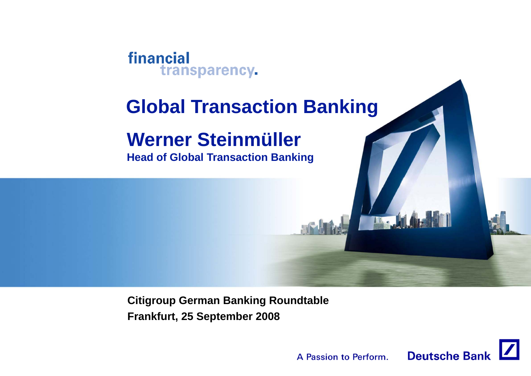

# **Global Transaction Banking**

# **Werner Steinmüller**

**Head of Global Transaction Banking**

**Citigroup German Banking Roundtable Frankfurt, 25 September 2008**

> **Deutsche Bank** A Passion to Perform.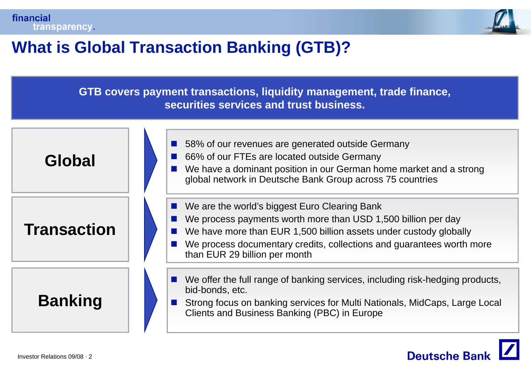



## **What is Global Transaction Banking (GTB)?**

**GTB covers py , q y g , , a yment transactions, li quidit y mana gement, trade finance, securities services and trust business.**



**Deutsche Banl**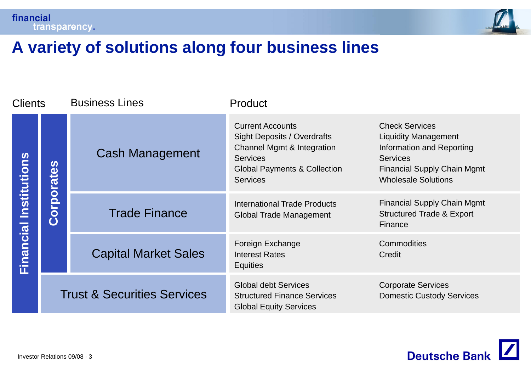

## **A variety of solutions along four business lines**

| <b>Clients</b>   |            | <b>Business Lines</b>                  | Product                                                                                                                                                                      |                                                                                                                                                                          |
|------------------|------------|----------------------------------------|------------------------------------------------------------------------------------------------------------------------------------------------------------------------------|--------------------------------------------------------------------------------------------------------------------------------------------------------------------------|
| Institutions     | Corporates | <b>Cash Management</b>                 | <b>Current Accounts</b><br><b>Sight Deposits / Overdrafts</b><br>Channel Mgmt & Integration<br><b>Services</b><br><b>Global Payments &amp; Collection</b><br><b>Services</b> | <b>Check Services</b><br><b>Liquidity Management</b><br>Information and Reporting<br><b>Services</b><br><b>Financial Supply Chain Mgmt</b><br><b>Wholesale Solutions</b> |
|                  |            | <b>Trade Finance</b>                   | <b>International Trade Products</b><br><b>Global Trade Management</b>                                                                                                        | <b>Financial Supply Chain Mgmt</b><br><b>Structured Trade &amp; Export</b><br>Finance                                                                                    |
| <b>Financial</b> |            | <b>Capital Market Sales</b>            | Foreign Exchange<br><b>Interest Rates</b><br><b>Equities</b>                                                                                                                 | Commodities<br>Credit                                                                                                                                                    |
|                  |            | <b>Trust &amp; Securities Services</b> | <b>Global debt Services</b><br><b>Structured Finance Services</b><br><b>Global Equity Services</b>                                                                           | <b>Corporate Services</b><br><b>Domestic Custody Services</b>                                                                                                            |

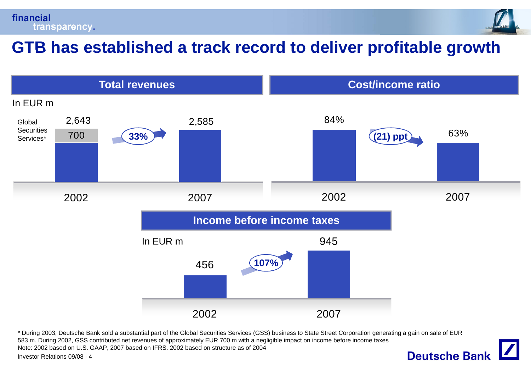



## **GTB has established <sup>a</sup> track record to deliver profitable growth**



\* During 2003, Deutsche Bank sold a substantial part of the Global Securities Services (GSS) business to State Street Corporation generating a gain on sale of EUR 583 m. During 2002, GSS contributed net revenues of approximately EUR 700 m with a negligible impact on income before income taxes Note: 2002 based on U.S. GAAP, 2007 based on IFRS. 2002 based on structure as of 2004



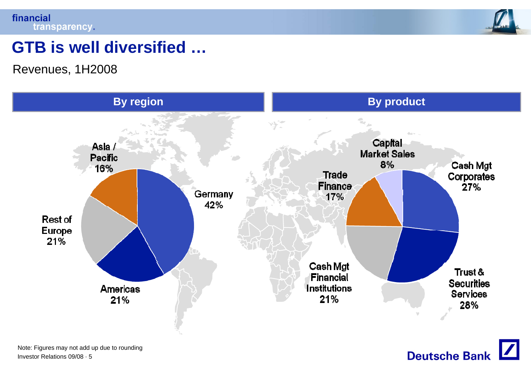



## **GTB is well diversified diversified …**

Revenues, 1H2008



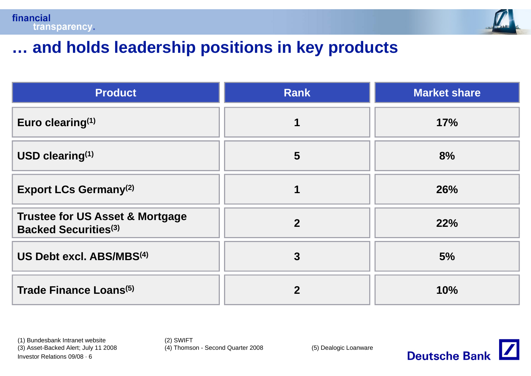



## **… and holds leadership positions in key products**

| <b>Product</b>                                                            | <b>Rank</b>    | <b>Market share</b> |
|---------------------------------------------------------------------------|----------------|---------------------|
| Euro clearing $(1)$                                                       |                | 17%                 |
| USD clearing <sup>(1)</sup>                                               | 5              | 8%                  |
| <b>Export LCs Germany</b> <sup>(2)</sup>                                  |                | 26%                 |
| <b>Trustee for US Asset &amp; Mortgage</b><br><b>Backed Securities(3)</b> | $\overline{2}$ | 22%                 |
| US Debt excl. ABS/MBS <sup>(4)</sup>                                      | 3              | 5%                  |
| Trade Finance Loans <sup>(5)</sup>                                        | 2              | 10%                 |

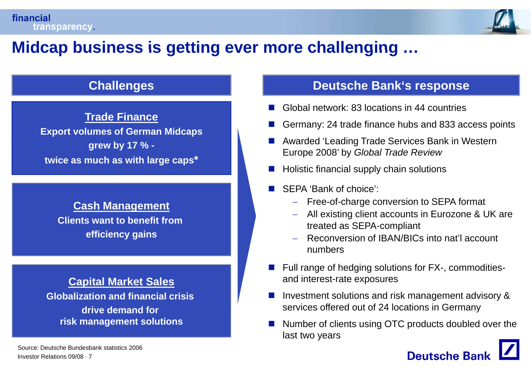

## **Midcap business is getting ever more challenging challenging …**

**Trade Finance Export volumes of German Midcaps b1% by 17 % twice as much as with large caps \***

**Cash Management Clients want to benefit from efficiency gains**

### **Globalization and financial crisis drive demand for risk mana gement solutions g**

#### **Challenges Challenges Deutsche Bank's response**

- П Global network: 83 locations in 44 countries
- F Germany: 24 trade finance hubs and 833 access points
- П Awarded 'Leading Trade Services Bank in Western **grew**  Leading Europe 2008' by *Global Trade Review*
	- Holistic financial supply chain solutions
	- SEPA 'Bank of choice':
		- −Free-of-charge conversion to SEPA format
		- All existing client accounts in Eurozone & UK are
		- − Reconversion of IBAN/BICs into nat'l account numbers
- treated as SEPA-compliant **gainsCapital Market Sales** Π Full range of hedging solutions for FX-, commodities-**I Market Sales All Contract Contract and interest-rate exposures** 
	- Π Investment solutions and risk management advisory & services offered out of 24 locations in Germany
	- Π ■ Number of clients using OTC products doubled over the last two years

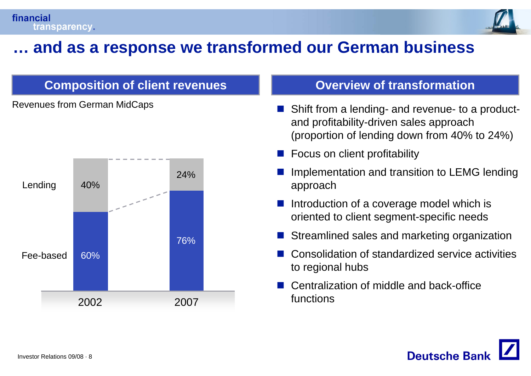

## **… and as <sup>a</sup> response we transformed our German business response**

### **Composition of client revenues and all constants Overview of transformation**

Revenues from German MidCaps



- $\mathcal{C}^{\mathcal{A}}$  Shift from a lending- and revenue- to a productand profitability-driven sales approach (proportion of lending down from 40% to 24%)
- $\mathcal{C}^{\mathcal{A}}$ Focus on client profitability
- $\mathcal{C}^{\mathcal{A}}$ Implementation and transition to LEMG lending
- P. Introduction of a coverage model which is oriented to client segment-specific needs
- Streamlined sales and marketing organization
- Consolidation of standardized service activities to regional hubs
- $\mathcal{C}^{\mathcal{A}}$  Centralization of middle and back-office functions

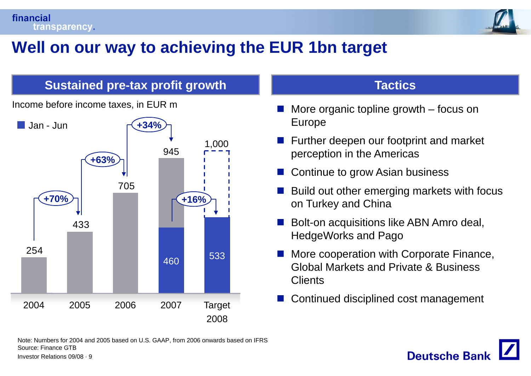

## **Well on our way to achieving the EUR 1bn target achieving target**

### **Sustained pre-tax profit growth Tactics and Tactics**

Jan - Junn <del>r</del>( **+34%** 945 1,000**+63%**433**+70%<sup>%</sup>)** 254460 <sup>533</sup> Continued disciplined cost management <sup>2004</sup> <sup>2005</sup> <sup>2006</sup> <sup>2007</sup> Target 2008

Income before income taxes, in EUR m

- $\mathcal{C}^{\mathcal{A}}$  More organic topline growth – focus on Europe
- $_{1.000}$   $\blacksquare$  Further deepen our footprint and market perception in the Americas
	- $\mathcal{C}^{\mathcal{A}}$ Continue to grow Asian business
- $\mathcal{C}^{\mathcal{A}}$  $\overline{705}$  i in the Build out other emerging markets with focus on Turkey and China
	- $\mathcal{C}^{\mathcal{A}}$  Bolt-on acquisitions like ABN Amro deal, HedgeWorks and Pago
	- More cooperation with Corporate Finance, Global Markets and Private & Business **Clients**
	- Г.



Investor Relations 09/08 · 9 Note: Numbers for 2004 and 2005 based on U.S. GAAP, from 2006 onwards based on IFRS Source: Finance GTB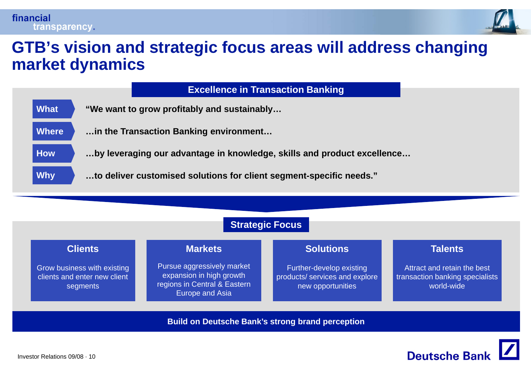

## **GTB s' vision and strategic focus areas will address changing market dynamics**

|              | <b>Excellence in Transaction Banking</b>                                |
|--------------|-------------------------------------------------------------------------|
| What         | "We want to grow profitably and sustainably                             |
| <b>Where</b> | in the Transaction Banking environment                                  |
| <b>How</b>   | by leveraging our advantage in knowledge, skills and product excellence |
| <b>Why</b>   | to deliver customised solutions for client segment-specific needs."     |



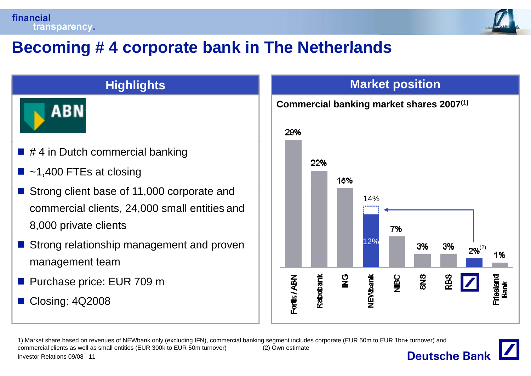

## **Becoming # 4 corporate bank in The Netherlands 4**



- $\blacksquare$  # 4 in Dutch commercial banking
- $\blacksquare$  ~1,400 FTEs at closing
- Strong client base of 11,000 corporate and commercial clients, 24,000 small entities and 8,000 private clients
- Strong relationship management and proven management team
- Purchase price: EUR 709 m
- F. Closing: 4Q2008

### **Highlights Market position**

#### **Commercial banking market shares 2007(1)**



1) Market share based on revenues of NEWbank only (excluding IFN), commercial banking segment includes corporate (EUR 50m to EUR 1bn+ turnover) and commercial clients as well as small entities (EUR 300k to EUR 50m turnover) (2) Own estimate **Deutsche Bank** Investor Relations 09/08 · 11